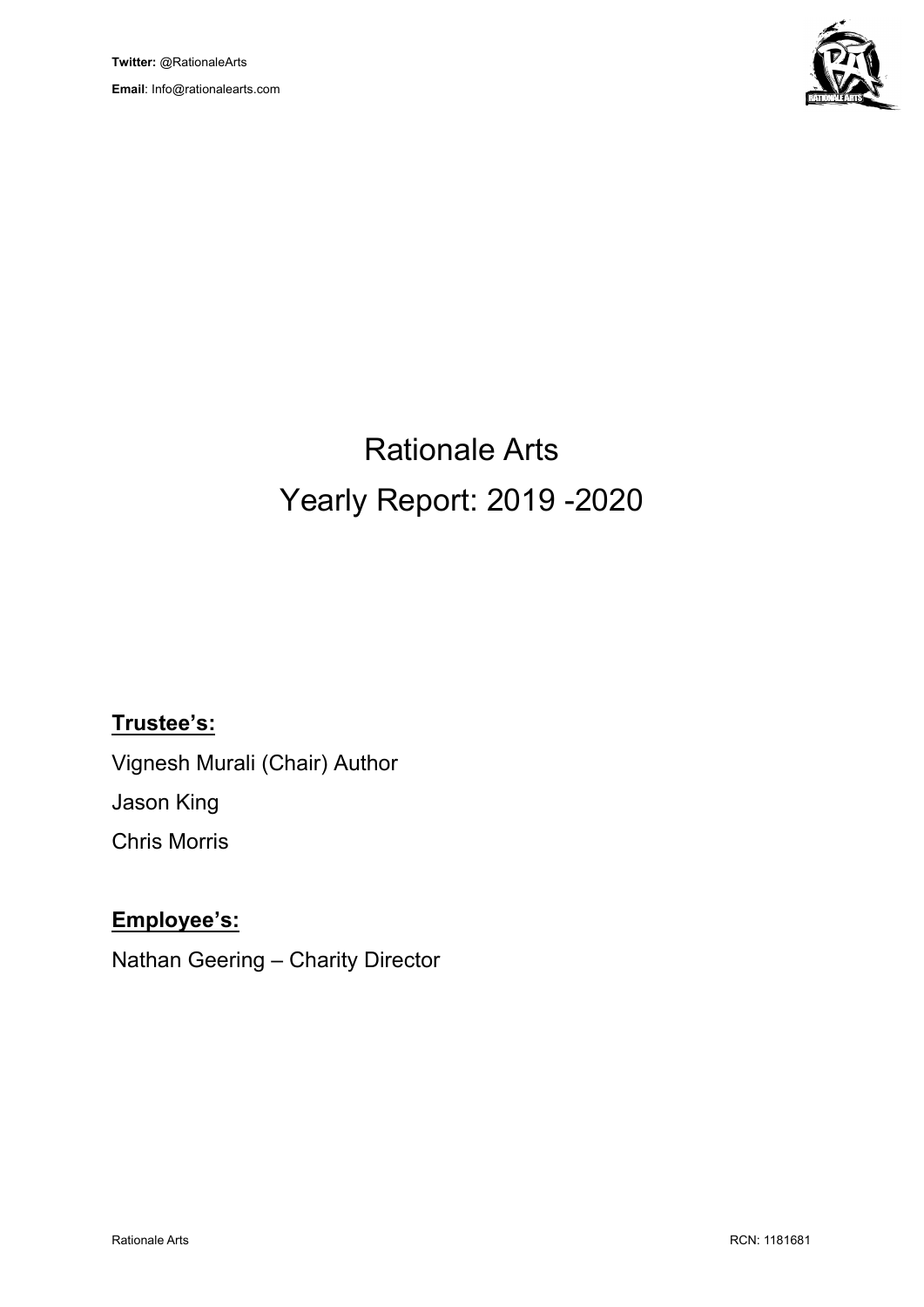

# Rationale Arts Yearly Report: 2019 -2020

## **Trustee's:**

Vignesh Murali (Chair) Author Jason King Chris Morris

## **Employee's:**

Nathan Geering – Charity Director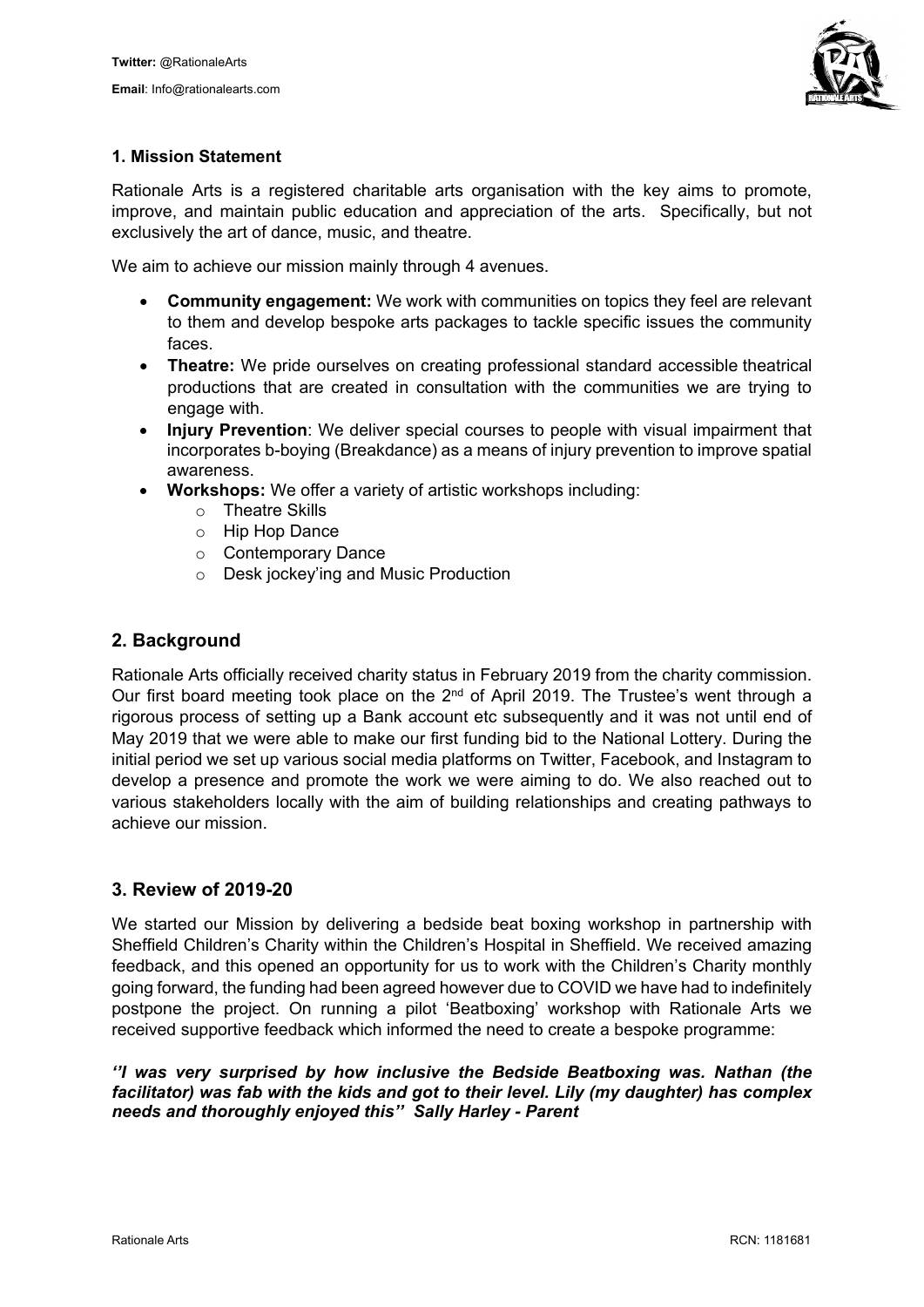

#### **1. Mission Statement**

Rationale Arts is a registered charitable arts organisation with the key aims to promote, improve, and maintain public education and appreciation of the arts. Specifically, but not exclusively the art of dance, music, and theatre.

We aim to achieve our mission mainly through 4 avenues.

- **Community engagement:** We work with communities on topics they feel are relevant to them and develop bespoke arts packages to tackle specific issues the community faces.
- **Theatre:** We pride ourselves on creating professional standard accessible theatrical productions that are created in consultation with the communities we are trying to engage with.
- **Injury Prevention**: We deliver special courses to people with visual impairment that incorporates b-boying (Breakdance) as a means of injury prevention to improve spatial awareness.
- **Workshops:** We offer a variety of artistic workshops including:
	- o Theatre Skills
	- o Hip Hop Dance
	- o Contemporary Dance
	- o Desk jockey'ing and Music Production

#### **2. Background**

Rationale Arts officially received charity status in February 2019 from the charity commission. Our first board meeting took place on the 2<sup>nd</sup> of April 2019. The Trustee's went through a rigorous process of setting up a Bank account etc subsequently and it was not until end of May 2019 that we were able to make our first funding bid to the National Lottery. During the initial period we set up various social media platforms on Twitter, Facebook, and Instagram to develop a presence and promote the work we were aiming to do. We also reached out to various stakeholders locally with the aim of building relationships and creating pathways to achieve our mission.

#### **3. Review of 2019-20**

We started our Mission by delivering a bedside beat boxing workshop in partnership with Sheffield Children's Charity within the Children's Hospital in Sheffield. We received amazing feedback, and this opened an opportunity for us to work with the Children's Charity monthly going forward, the funding had been agreed however due to COVID we have had to indefinitely postpone the project. On running a pilot 'Beatboxing' workshop with Rationale Arts we received supportive feedback which informed the need to create a bespoke programme:

*''I was very surprised by how inclusive the Bedside Beatboxing was. Nathan (the facilitator) was fab with the kids and got to their level. Lily (my daughter) has complex needs and thoroughly enjoyed this''. Sally Harley - Parent*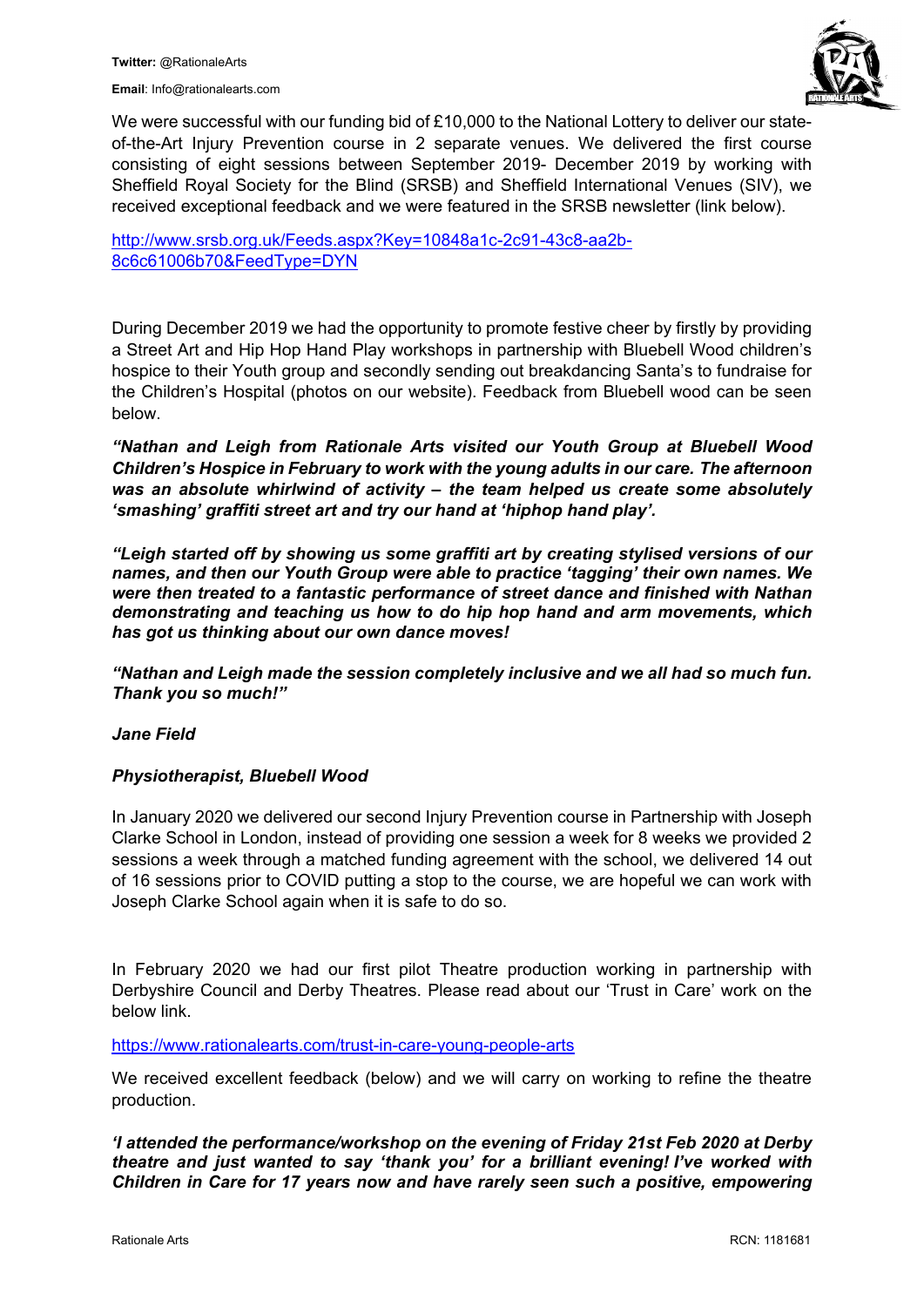**Email**: Info@rationalearts.com



We were successful with our funding bid of £10,000 to the National Lottery to deliver our stateof-the-Art Injury Prevention course in 2 separate venues. We delivered the first course consisting of eight sessions between September 2019- December 2019 by working with Sheffield Royal Society for the Blind (SRSB) and Sheffield International Venues (SIV), we received exceptional feedback and we were featured in the SRSB newsletter (link below).

[http://www.srsb.org.uk/Feeds.aspx?Key=10848a1c-2c91-43c8-aa2b-](http://www.srsb.org.uk/Feeds.aspx?Key=10848a1c-2c91-43c8-aa2b-8c6c61006b70&FeedType=DYN)[8c6c61006b70&FeedType=DYN](http://www.srsb.org.uk/Feeds.aspx?Key=10848a1c-2c91-43c8-aa2b-8c6c61006b70&FeedType=DYN)

During December 2019 we had the opportunity to promote festive cheer by firstly by providing a Street Art and Hip Hop Hand Play workshops in partnership with Bluebell Wood children's hospice to their Youth group and secondly sending out breakdancing Santa's to fundraise for the Children's Hospital (photos on our website). Feedback from Bluebell wood can be seen below.

*"Nathan and Leigh from Rationale Arts visited our Youth Group at Bluebell Wood Children's Hospice in February to work with the young adults in our care. The afternoon was an absolute whirlwind of activity – the team helped us create some absolutely 'smashing' graffiti street art and try our hand at 'hiphop hand play'.* 

*"Leigh started off by showing us some graffiti art by creating stylised versions of our names, and then our Youth Group were able to practice 'tagging' their own names. We were then treated to a fantastic performance of street dance and finished with Nathan demonstrating and teaching us how to do hip hop hand and arm movements, which has got us thinking about our own dance moves!* 

*"Nathan and Leigh made the session completely inclusive and we all had so much fun. Thank you so much!"*

#### *Jane Field*

#### *Physiotherapist, Bluebell Wood*

In January 2020 we delivered our second Injury Prevention course in Partnership with Joseph Clarke School in London, instead of providing one session a week for 8 weeks we provided 2 sessions a week through a matched funding agreement with the school, we delivered 14 out of 16 sessions prior to COVID putting a stop to the course, we are hopeful we can work with Joseph Clarke School again when it is safe to do so.

In February 2020 we had our first pilot Theatre production working in partnership with Derbyshire Council and Derby Theatres. Please read about our 'Trust in Care' work on the below link.

<https://www.rationalearts.com/trust-in-care-young-people-arts>

We received excellent feedback (below) and we will carry on working to refine the theatre production.

*'I attended the performance/workshop on the evening of Friday 21st Feb 2020 at Derby theatre and just wanted to say 'thank you' for a brilliant evening! I've worked with Children in Care for 17 years now and have rarely seen such a positive, empowering*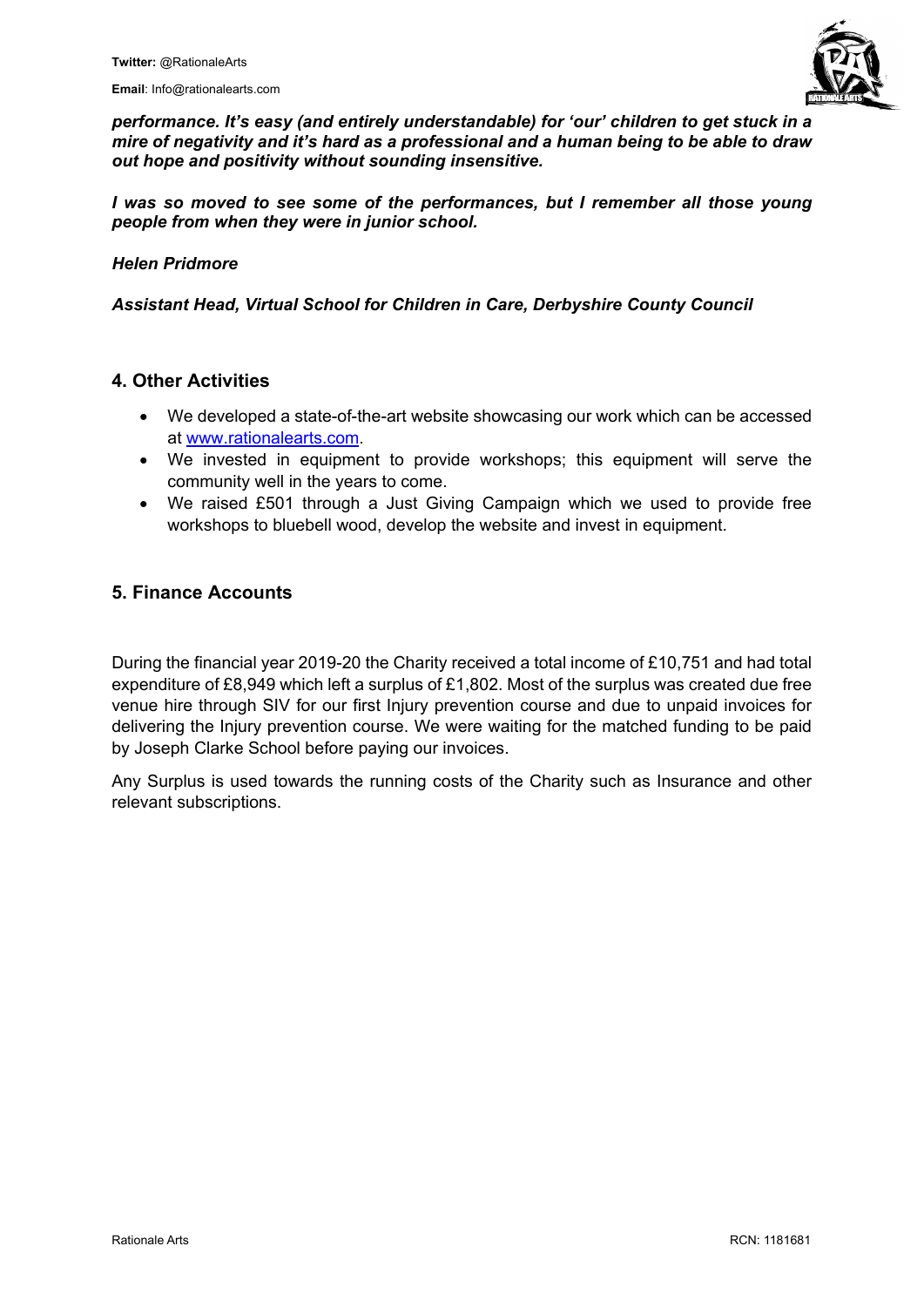**Email**: Info@rationalearts.com



*performance. It's easy (and entirely understandable) for 'our' children to get stuck in a mire of negativity and it's hard as a professional and a human being to be able to draw out hope and positivity without sounding insensitive.*

*I was so moved to see some of the performances, but I remember all those young people from when they were in junior school.*

#### *Helen Pridmore*

*Assistant Head, Virtual School for Children in Care, Derbyshire County Council*

#### **4. Other Activities**

- We developed a state-of-the-art website showcasing our work which can be accessed at [www.rationalearts.com.](http://www.rationalearts.com/)
- We invested in equipment to provide workshops; this equipment will serve the community well in the years to come.
- We raised £501 through a Just Giving Campaign which we used to provide free workshops to bluebell wood, develop the website and invest in equipment.

#### **5. Finance Accounts**

During the financial year 2019-20 the Charity received a total income of £10,751 and had total expenditure of £8,949 which left a surplus of £1,802. Most of the surplus was created due free venue hire through SIV for our first Injury prevention course and due to unpaid invoices for delivering the Injury prevention course. We were waiting for the matched funding to be paid by Joseph Clarke School before paying our invoices.

Any Surplus is used towards the running costs of the Charity such as Insurance and other relevant subscriptions.